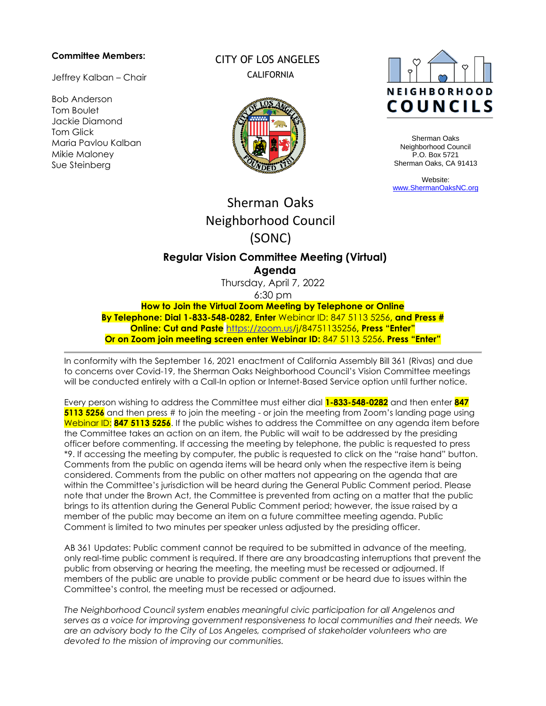#### **Committee Members:**

Jeffrey Kalban – Chair

Bob Anderson Tom Boulet Jackie Diamond Tom Glick Maria Pavlou Kalban Mikie Maloney Sue Steinberg

CITY OF LOS ANGELES **CALIFORNIA** 





Sherman Oaks Neighborhood Council P.O. Box 5721 Sherman Oaks, CA 91413

Website: [www.ShermanOaksNC.org](http://www.shermanoaksnc.org/)

# Sherman Oaks Neighborhood Council (SONC)

## **Regular Vision Committee Meeting (Virtual) Agenda**

Thursday, April 7, 2022 6:30 pm

**How to Join the Virtual Zoom Meeting by Telephone or Online By Telephone: Dial 1-833-548-0282, Enter** Webinar ID: 847 5113 5256**, and Press # Online: Cut and Paste** [https://zoom.us/j/84751135256](https://zoom.us/j/98855253374)**, Press "Enter" Or on Zoom join meeting screen enter Webinar ID:** 847 5113 5256**. Press "Enter"**

In conformity with the September 16, 2021 enactment of California Assembly Bill 361 (Rivas) and due to concerns over Covid-19, the Sherman Oaks Neighborhood Council's Vision Committee meetings will be conducted entirely with a Call-In option or Internet-Based Service option until further notice.

Every person wishing to address the Committee must either dial **1-833-548-0282** and then enter **847 5113 5256** and then press # to join the meeting - or join the meeting from Zoom's landing page using Webinar ID: **847 5113 5256**. If the public wishes to address the Committee on any agenda item before the Committee takes an action on an item, the Public will wait to be addressed by the presiding officer before commenting. If accessing the meeting by telephone, the public is requested to press \*9. If accessing the meeting by computer, the public is requested to click on the "raise hand" button. Comments from the public on agenda items will be heard only when the respective item is being considered. Comments from the public on other matters not appearing on the agenda that are within the Committee's jurisdiction will be heard during the General Public Comment period. Please note that under the Brown Act, the Committee is prevented from acting on a matter that the public brings to its attention during the General Public Comment period; however, the issue raised by a member of the public may become an item on a future committee meeting agenda. Public Comment is limited to two minutes per speaker unless adjusted by the presiding officer.

AB 361 Updates: Public comment cannot be required to be submitted in advance of the meeting, only real-time public comment is required. If there are any broadcasting interruptions that prevent the public from observing or hearing the meeting, the meeting must be recessed or adjourned. If members of the public are unable to provide public comment or be heard due to issues within the Committee's control, the meeting must be recessed or adjourned.

*The Neighborhood Council system enables meaningful civic participation for all Angelenos and serves as a voice for improving government responsiveness to local communities and their needs. We are an advisory body to the City of Los Angeles, comprised of stakeholder volunteers who are devoted to the mission of improving our communities.*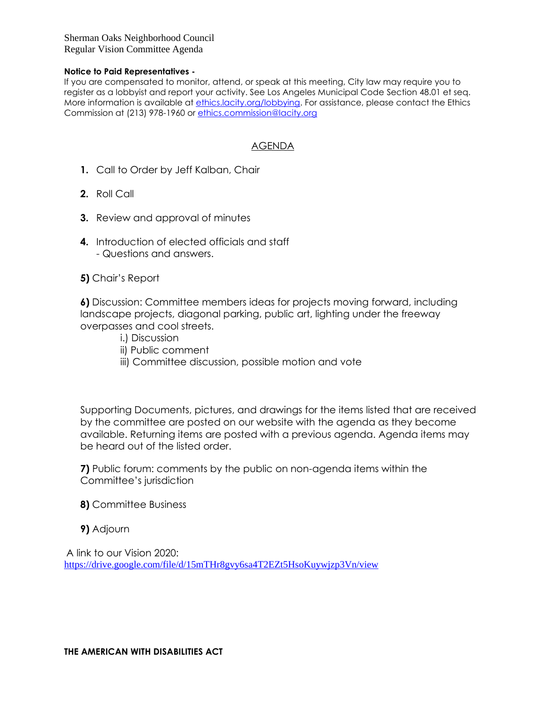Sherman Oaks Neighborhood Council Regular Vision Committee Agenda

#### **Notice to Paid Representatives -**

If you are compensated to monitor, attend, or speak at this meeting, City law may require you to register as a lobbyist and report your activity. See Los Angeles Municipal Code Section 48.01 et seq. More information is available at [ethics.lacity.org/lobbying.](http://ethics.lacity.org/lobbying) For assistance, please contact the Ethics Commission at (213) 978-1960 or [ethics.commission@lacity.org](mailto:ethics.commission@lacity.org)

## AGENDA

- **1.** Call to Order by Jeff Kalban, Chair
- **2.** Roll Call
- **3.** Review and approval of minutes
- **4.** Introduction of elected officials and staff - Questions and answers.
- **5)** Chair's Report

**6)** Discussion: Committee members ideas for projects moving forward, including landscape projects, diagonal parking, public art, lighting under the freeway overpasses and cool streets.

- i.) Discussion
- ii) Public comment
- iii) Committee discussion, possible motion and vote

Supporting Documents, pictures, and drawings for the items listed that are received by the committee are posted on our website with the agenda as they become available. Returning items are posted with a previous agenda. Agenda items may be heard out of the listed order.

**7)** Public forum: comments by the public on non-agenda items within the Committee's jurisdiction

**8)** Committee Business

**9)** Adjourn

A link to our Vision 2020: <https://drive.google.com/file/d/15mTHr8gvy6sa4T2EZt5HsoKuywjzp3Vn/view>